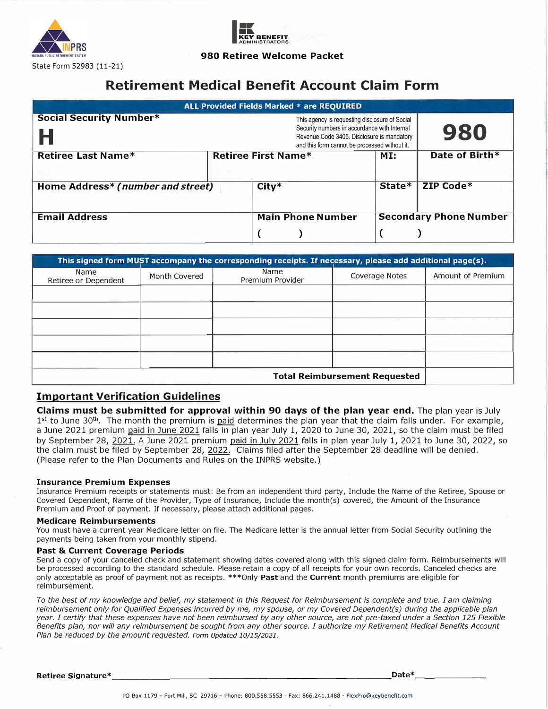



## **980 Retiree Welcome Packet**

# **Retirement Medical Benefit Account Claim Form**

|                                     | ALL Provided Fields Marked * are REOUIRED                                                                                                                                                     |        |                               |
|-------------------------------------|-----------------------------------------------------------------------------------------------------------------------------------------------------------------------------------------------|--------|-------------------------------|
| <b>Social Security Number*</b><br>Н | This agency is requesting disclosure of Social<br>Security numbers in accordance with Internal<br>Revenue Code 3405. Disclosure is mandatory<br>and this form cannot be processed without it. |        | 980                           |
| <b>Retiree Last Name*</b>           | <b>Retiree First Name*</b>                                                                                                                                                                    | MI:    | Date of Birth*                |
| Home Address* (number and street)   | $City*$                                                                                                                                                                                       | State* | ZIP Code*                     |
| <b>Email Address</b>                | <b>Main Phone Number</b>                                                                                                                                                                      |        | <b>Secondary Phone Number</b> |

|                              |               | This signed form MUST accompany the corresponding receipts. If necessary, please add additional page(s). |                                      |                   |
|------------------------------|---------------|----------------------------------------------------------------------------------------------------------|--------------------------------------|-------------------|
| Name<br>Retiree or Dependent | Month Covered | Name<br>Premium Provider                                                                                 | <b>Coverage Notes</b>                | Amount of Premium |
|                              |               |                                                                                                          |                                      |                   |
|                              |               |                                                                                                          |                                      |                   |
|                              |               |                                                                                                          |                                      |                   |
|                              |               |                                                                                                          |                                      |                   |
|                              |               |                                                                                                          |                                      |                   |
|                              |               |                                                                                                          | <b>Total Reimbursement Requested</b> |                   |

# **Important Verification Guidelines**

**Claims must be submitted for approval within 90 days of the plan year end.** The plan year is July 1<sup>st</sup> to June 30<sup>th</sup>. The month the premium is <u>paid</u> determines the plan year that the claim falls under. For example, a June 2021 premium paid in June 2021 falls in plan year July 1, 2020 to June 30, 2021, so the claim must be filed by September 28, 2021. A June 2021 premium paid in July 2021 falls in plan year July 1, 2021 to June 30, 2022, so the claim must be filed by September 28, 2022. Claims filed after the September 28 deadline will be denied. (Please refer to the Plan Documents and Rules on the INPRS website.)

### **Insurance Premium Expenses**

Insurance Premium receipts or statements must: Be from an independent third party, Include the Name of the Retiree, Spouse or Covered Dependent, Name of the Provider, Type of Insurance, Include the month(s) covered, the Amount of the Insurance Premium and Proof of payment. If necessary, please attach additional pages.

#### **Medicare Reimbursements**

You must have a current year Medicare letter on file. The Medicare letter is the annual letter from Social Security outlining the payments being taken from your monthly stipend.

#### **Past & Current Coverage Periods**

Send a copy of your canceled check and statement showing dates covered along with this signed claim form. Reimbursements will be processed according to the standard schedule. Please retain a copy of all receipts for your own records. Canceled checks are only acceptable as proof of payment not as receipts. \*\*\*Only **Past** and the **Current** month premiums are eligible for reimbursement.

*To the best of my knowledge and belief, my statement in this Request for Reimbursement is complete and true. I am claiming reimbursement only for Qualified Expenses incurred by me, my spouse, or my Covered Dependent(s) during the applicable plan year. I certify that these expenses have not been reimbursed by any other source, are not pre-taxed under a Section 125 Flexible Benefits plan, nor will any reimbursement be sought from any other source. I authorize my Retirement Medical Benefits Account Plan be reduced by the amount requested. Form Updated 10/15/2021.* 

**Retiree Signature\* \_\_\_\_\_\_\_\_\_\_\_\_\_\_\_\_\_\_\_\_\_\_\_\_\_\_\_\_\_ Date\* \_\_\_\_\_\_ \_**